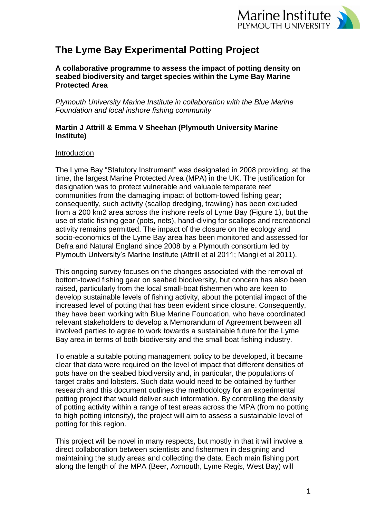

# **The Lyme Bay Experimental Potting Project**

**A collaborative programme to assess the impact of potting density on seabed biodiversity and target species within the Lyme Bay Marine Protected Area**

*Plymouth University Marine Institute in collaboration with the Blue Marine Foundation and local inshore fishing community*

## **Martin J Attrill & Emma V Sheehan (Plymouth University Marine Institute)**

## Introduction

The Lyme Bay "Statutory Instrument" was designated in 2008 providing, at the time, the largest Marine Protected Area (MPA) in the UK. The justification for designation was to protect vulnerable and valuable temperate reef communities from the damaging impact of bottom-towed fishing gear; consequently, such activity (scallop dredging, trawling) has been excluded from a 200 km2 area across the inshore reefs of Lyme Bay (Figure 1), but the use of static fishing gear (pots, nets), hand-diving for scallops and recreational activity remains permitted. The impact of the closure on the ecology and socio-economics of the Lyme Bay area has been monitored and assessed for Defra and Natural England since 2008 by a Plymouth consortium led by Plymouth University's Marine Institute (Attrill et al 2011; Mangi et al 2011).

This ongoing survey focuses on the changes associated with the removal of bottom-towed fishing gear on seabed biodiversity, but concern has also been raised, particularly from the local small-boat fishermen who are keen to develop sustainable levels of fishing activity, about the potential impact of the increased level of potting that has been evident since closure. Consequently, they have been working with Blue Marine Foundation, who have coordinated relevant stakeholders to develop a Memorandum of Agreement between all involved parties to agree to work towards a sustainable future for the Lyme Bay area in terms of both biodiversity and the small boat fishing industry.

To enable a suitable potting management policy to be developed, it became clear that data were required on the level of impact that different densities of pots have on the seabed biodiversity and, in particular, the populations of target crabs and lobsters. Such data would need to be obtained by further research and this document outlines the methodology for an experimental potting project that would deliver such information. By controlling the density of potting activity within a range of test areas across the MPA (from no potting to high potting intensity), the project will aim to assess a sustainable level of potting for this region.

This project will be novel in many respects, but mostly in that it will involve a direct collaboration between scientists and fishermen in designing and maintaining the study areas and collecting the data. Each main fishing port along the length of the MPA (Beer, Axmouth, Lyme Regis, West Bay) will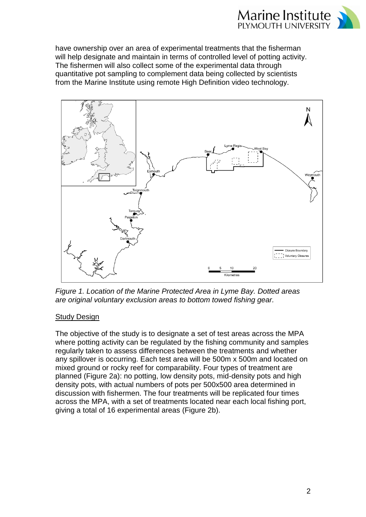

have ownership over an area of experimental treatments that the fisherman will help designate and maintain in terms of controlled level of potting activity. The fishermen will also collect some of the experimental data through quantitative pot sampling to complement data being collected by scientists from the Marine Institute using remote High Definition video technology.



*Figure 1. Location of the Marine Protected Area in Lyme Bay. Dotted areas are original voluntary exclusion areas to bottom towed fishing gear.*

## **Study Design**

The objective of the study is to designate a set of test areas across the MPA where potting activity can be regulated by the fishing community and samples regularly taken to assess differences between the treatments and whether any spillover is occurring. Each test area will be 500m x 500m and located on mixed ground or rocky reef for comparability. Four types of treatment are planned (Figure 2a): no potting, low density pots, mid-density pots and high density pots, with actual numbers of pots per 500x500 area determined in discussion with fishermen. The four treatments will be replicated four times across the MPA, with a set of treatments located near each local fishing port, giving a total of 16 experimental areas (Figure 2b).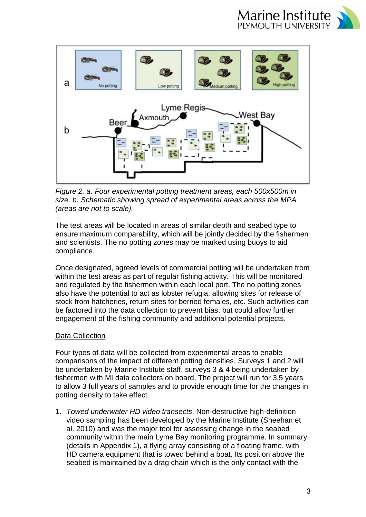



*Figure 2. a. Four experimental potting treatment areas, each 500x500m in size. b. Schematic showing spread of experimental areas across the MPA (areas are not to scale).*

The test areas will be located in areas of similar depth and seabed type to ensure maximum comparability, which will be jointly decided by the fishermen and scientists. The no potting zones may be marked using buoys to aid compliance.

Once designated, agreed levels of commercial potting will be undertaken from within the test areas as part of regular fishing activity. This will be monitored and regulated by the fishermen within each local port. The no potting zones also have the potential to act as lobster refugia, allowing sites for release of stock from hatcheries, return sites for berried females, etc. Such activities can be factored into the data collection to prevent bias, but could allow further engagement of the fishing community and additional potential projects.

## Data Collection

Four types of data will be collected from experimental areas to enable comparisons of the impact of different potting densities. Surveys 1 and 2 will be undertaken by Marine Institute staff, surveys 3 & 4 being undertaken by fishermen with MI data collectors on board. The project will run for 3.5 years to allow 3 full years of samples and to provide enough time for the changes in potting density to take effect.

1. *Towed underwater HD video transects*. Non-destructive high-definition video sampling has been developed by the Marine Institute (Sheehan et al. 2010) and was the major tool for assessing change in the seabed community within the main Lyme Bay monitoring programme. In summary (details in Appendix 1), a flying array consisting of a floating frame, with HD camera equipment that is towed behind a boat. Its position above the seabed is maintained by a drag chain which is the only contact with the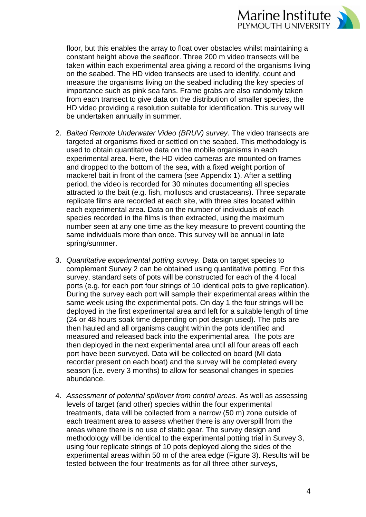

floor, but this enables the array to float over obstacles whilst maintaining a constant height above the seafloor. Three 200 m video transects will be taken within each experimental area giving a record of the organisms living on the seabed. The HD video transects are used to identify, count and measure the organisms living on the seabed including the key species of importance such as pink sea fans. Frame grabs are also randomly taken from each transect to give data on the distribution of smaller species, the HD video providing a resolution suitable for identification. This survey will be undertaken annually in summer.

- 2. *Baited Remote Underwater Video (BRUV) survey.* The video transects are targeted at organisms fixed or settled on the seabed. This methodology is used to obtain quantitative data on the mobile organisms in each experimental area. Here, the HD video cameras are mounted on frames and dropped to the bottom of the sea, with a fixed weight portion of mackerel bait in front of the camera (see Appendix 1). After a settling period, the video is recorded for 30 minutes documenting all species attracted to the bait (e.g. fish, molluscs and crustaceans). Three separate replicate films are recorded at each site, with three sites located within each experimental area. Data on the number of individuals of each species recorded in the films is then extracted, using the maximum number seen at any one time as the key measure to prevent counting the same individuals more than once. This survey will be annual in late spring/summer.
- 3. *Quantitative experimental potting survey.* Data on target species to complement Survey 2 can be obtained using quantitative potting. For this survey, standard sets of pots will be constructed for each of the 4 local ports (e.g. for each port four strings of 10 identical pots to give replication). During the survey each port will sample their experimental areas within the same week using the experimental pots. On day 1 the four strings will be deployed in the first experimental area and left for a suitable length of time (24 or 48 hours soak time depending on pot design used). The pots are then hauled and all organisms caught within the pots identified and measured and released back into the experimental area. The pots are then deployed in the next experimental area until all four areas off each port have been surveyed. Data will be collected on board (MI data recorder present on each boat) and the survey will be completed every season (i.e. every 3 months) to allow for seasonal changes in species abundance.
- 4. *Assessment of potential spillover from control areas.* As well as assessing levels of target (and other) species within the four experimental treatments, data will be collected from a narrow (50 m) zone outside of each treatment area to assess whether there is any overspill from the areas where there is no use of static gear. The survey design and methodology will be identical to the experimental potting trial in Survey 3, using four replicate strings of 10 pots deployed along the sides of the experimental areas within 50 m of the area edge (Figure 3). Results will be tested between the four treatments as for all three other surveys,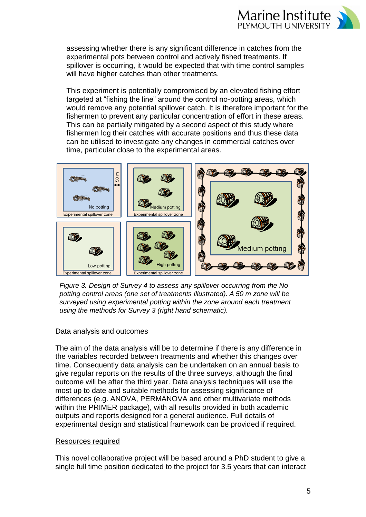

assessing whether there is any significant difference in catches from the experimental pots between control and actively fished treatments. If spillover is occurring, it would be expected that with time control samples will have higher catches than other treatments.

This experiment is potentially compromised by an elevated fishing effort targeted at "fishing the line" around the control no-potting areas, which would remove any potential spillover catch. It is therefore important for the fishermen to prevent any particular concentration of effort in these areas. This can be partially mitigated by a second aspect of this study where fishermen log their catches with accurate positions and thus these data can be utilised to investigate any changes in commercial catches over time, particular close to the experimental areas.



*Figure 3. Design of Survey 4 to assess any spillover occurring from the No potting control areas (one set of treatments illustrated). A 50 m zone will be surveyed using experimental potting within the zone around each treatment* 

## Data analysis and outcomes

The aim of the data analysis will be to determine if there is any difference in the variables recorded between treatments and whether this changes over time. Consequently data analysis can be undertaken on an annual basis to give regular reports on the results of the three surveys, although the final outcome will be after the third year. Data analysis techniques will use the most up to date and suitable methods for assessing significance of differences (e.g. ANOVA, PERMANOVA and other multivariate methods within the PRIMER package), with all results provided in both academic outputs and reports designed for a general audience. Full details of experimental design and statistical framework can be provided if required.

#### Resources required

This novel collaborative project will be based around a PhD student to give a single full time position dedicated to the project for 3.5 years that can interact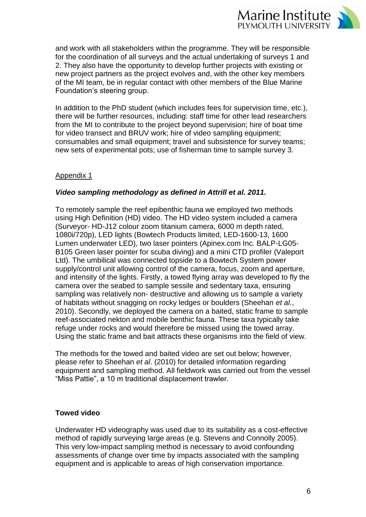

and work with all stakeholders within the programme. They will be responsible for the coordination of all surveys and the actual undertaking of surveys 1 and 2. They also have the opportunity to develop further projects with existing or new project partners as the project evolves and, with the other key members of the MI team, be in regular contact with other members of the Blue Marine Foundation's steering group.

In addition to the PhD student (which includes fees for supervision time, etc.), there will be further resources, including: staff time for other lead researchers from the MI to contribute to the project beyond supervision; hire of boat time for video transect and BRUV work; hire of video sampling equipment; consumables and small equipment; travel and subsistence for survey teams; new sets of experimental pots; use of fisherman time to sample survey 3.

## Appendix 1

### *Video sampling methodology as defined in Attrill et al. 2011.*

To remotely sample the reef epibenthic fauna we employed two methods using High Definition (HD) video. The HD video system included a camera (Surveyor- HD-J12 colour zoom titanium camera, 6000 m depth rated, 1080i/720p), LED lights (Bowtech Products limited, LED-1600-13, 1600 Lumen underwater LED), two laser pointers (Apinex.com Inc. BALP-LG05- B105 Green laser pointer for scuba diving) and a mini CTD profiler (Valeport Ltd). The umbilical was connected topside to a Bowtech System power supply/control unit allowing control of the camera, focus, zoom and aperture, and intensity of the lights. Firstly, a towed flying array was developed to fly the camera over the seabed to sample sessile and sedentary taxa, ensuring sampling was relatively non- destructive and allowing us to sample a variety of habitats without snagging on rocky ledges or boulders (Sheehan *et al.*, 2010). Secondly, we deployed the camera on a baited, static frame to sample reef-associated nekton and mobile benthic fauna. These taxa typically take refuge under rocks and would therefore be missed using the towed array. Using the static frame and bait attracts these organisms into the field of view.

The methods for the towed and baited video are set out below; however, please refer to Sheehan *et al*. (2010) for detailed information regarding equipment and sampling method. All fieldwork was carried out from the vessel "Miss Pattie", a 10 m traditional displacement trawler.

#### **Towed video**

Underwater HD videography was used due to its suitability as a cost-effective method of rapidly surveying large areas (e.g. Stevens and Connolly 2005). This very low-impact sampling method is necessary to avoid confounding assessments of change over time by impacts associated with the sampling equipment and is applicable to areas of high conservation importance.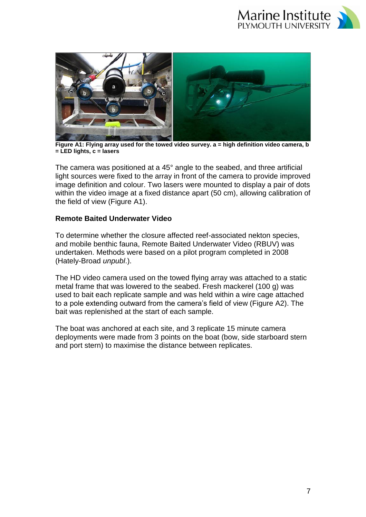



**Figure A1: Flying array used for the towed video survey. a = high definition video camera, b = LED lights, c = lasers**

The camera was positioned at a 45° angle to the seabed, and three artificial light sources were fixed to the array in front of the camera to provide improved image definition and colour. Two lasers were mounted to display a pair of dots within the video image at a fixed distance apart (50 cm), allowing calibration of the field of view (Figure A1).

### **Remote Baited Underwater Video**

To determine whether the closure affected reef-associated nekton species, and mobile benthic fauna, Remote Baited Underwater Video (RBUV) was undertaken. Methods were based on a pilot program completed in 2008 (Hately-Broad *unpubl*.).

The HD video camera used on the towed flying array was attached to a static metal frame that was lowered to the seabed. Fresh mackerel (100 g) was used to bait each replicate sample and was held within a wire cage attached to a pole extending outward from the camera's field of view (Figure A2). The bait was replenished at the start of each sample.

The boat was anchored at each site, and 3 replicate 15 minute camera deployments were made from 3 points on the boat (bow, side starboard stern and port stern) to maximise the distance between replicates.